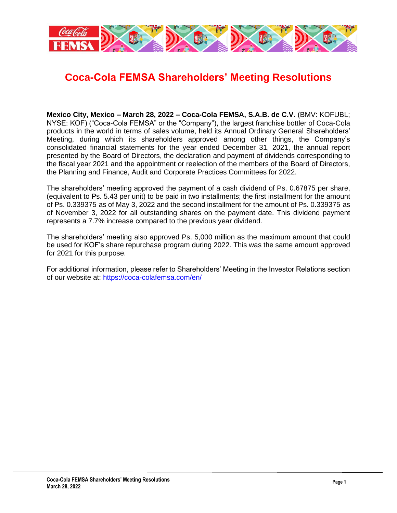

## **Coca-Cola FEMSA Shareholders' Meeting Resolutions**

**Mexico City, Mexico – March 28, 2022 – Coca-Cola FEMSA, S.A.B. de C.V.** (BMV: KOFUBL; NYSE: KOF) ("Coca-Cola FEMSA" or the "Company"), the largest franchise bottler of Coca-Cola products in the world in terms of sales volume, held its Annual Ordinary General Shareholders' Meeting, during which its shareholders approved among other things, the Company's consolidated financial statements for the year ended December 31, 2021, the annual report presented by the Board of Directors, the declaration and payment of dividends corresponding to the fiscal year 2021 and the appointment or reelection of the members of the Board of Directors, the Planning and Finance, Audit and Corporate Practices Committees for 2022.

The shareholders' meeting approved the payment of a cash dividend of Ps. 0.67875 per share, (equivalent to Ps. 5.43 per unit) to be paid in two installments; the first installment for the amount of Ps. 0.339375 as of May 3, 2022 and the second installment for the amount of Ps. 0.339375 as of November 3, 2022 for all outstanding shares on the payment date. This dividend payment represents a 7.7% increase compared to the previous year dividend.

The shareholders' meeting also approved Ps. 5,000 million as the maximum amount that could be used for KOF's share repurchase program during 2022. This was the same amount approved for 2021 for this purpose.

For additional information, please refer to Shareholders' Meeting in the Investor Relations section of our website at:<https://coca-colafemsa.com/en/>